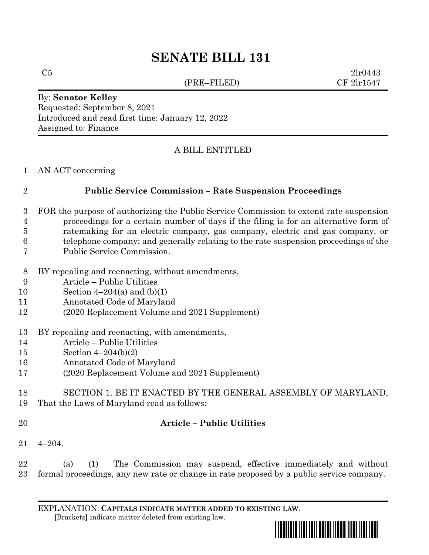# **SENATE BILL 131**

(PRE–FILED) CF 2lr1547

 $C5$  2lr0443

By: **Senator Kelley** Requested: September 8, 2021 Introduced and read first time: January 12, 2022 Assigned to: Finance

#### A BILL ENTITLED

AN ACT concerning

### **Public Service Commission – Rate Suspension Proceedings**

- FOR the purpose of authorizing the Public Service Commission to extend rate suspension proceedings for a certain number of days if the filing is for an alternative form of
- ratemaking for an electric company, gas company, electric and gas company, or
- telephone company; and generally relating to the rate suspension proceedings of the
- Public Service Commission.
- BY repealing and reenacting, without amendments,
- Article Public Utilities
- 10 Section  $4-204(a)$  and  $(b)(1)$
- Annotated Code of Maryland
- (2020 Replacement Volume and 2021 Supplement)
- BY repealing and reenacting, with amendments,
- Article Public Utilities
- Section 4–204(b)(2)
- Annotated Code of Maryland
- (2020 Replacement Volume and 2021 Supplement)
- SECTION 1. BE IT ENACTED BY THE GENERAL ASSEMBLY OF MARYLAND, That the Laws of Maryland read as follows:
- 

## **Article – Public Utilities**

4–204.

 (a) (1) The Commission may suspend, effective immediately and without formal proceedings, any new rate or change in rate proposed by a public service company.

EXPLANATION: **CAPITALS INDICATE MATTER ADDED TO EXISTING LAW**.  **[**Brackets**]** indicate matter deleted from existing law.